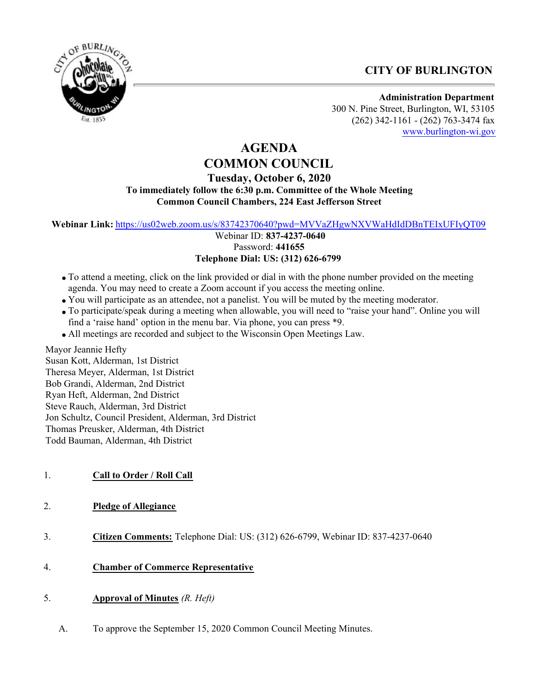# **CITY OF BURLINGTON**



**Administration Department** 300 N. Pine Street, Burlington, WI, 53105 (262) 342-1161 - (262) 763-3474 fax [www.burlington-wi.gov](http://www.burlington-wi.gov)

# **AGENDA COMMON COUNCIL**

# **Tuesday, October 6, 2020 To immediately follow the 6:30 p.m. Committee of the Whole Meeting Common Council Chambers, 224 East Jefferson Street**

**Webinar Link:** <https://us02web.zoom.us/s/83742370640?pwd=MVVaZHgwNXVWaHdIdDBnTEIxUFIyQT09>

 Webinar ID: **837-4237-0640** Password: **441655 Telephone Dial: US: (312) 626-6799**

- To attend a meeting, click on the link provided or dial in with the phone number provided on the meeting agenda. You may need to create a Zoom account if you access the meeting online.
- You will participate as an attendee, not a panelist. You will be muted by the meeting moderator.
- To participate/speak during a meeting when allowable, you will need to "raise your hand". Online you will find a 'raise hand' option in the menu bar. Via phone, you can press \*9.
- All meetings are recorded and subject to the Wisconsin Open Meetings Law.

Mayor Jeannie Hefty Susan Kott, Alderman, 1st District Theresa Meyer, Alderman, 1st District Bob Grandi, Alderman, 2nd District Ryan Heft, Alderman, 2nd District Steve Rauch, Alderman, 3rd District Jon Schultz, Council President, Alderman, 3rd District Thomas Preusker, Alderman, 4th District

Todd Bauman, Alderman, 4th District

- 1. **Call to Order / Roll Call**
- 2. **Pledge of Allegiance**
- 3. **Citizen Comments:** Telephone Dial: US: (312) 626-6799, Webinar ID: 837-4237-0640
- 4. **Chamber of Commerce Representative**
- 5. **Approval of Minutes** *(R. Heft)*
	- A. To approve the September 15, 2020 Common Council Meeting Minutes.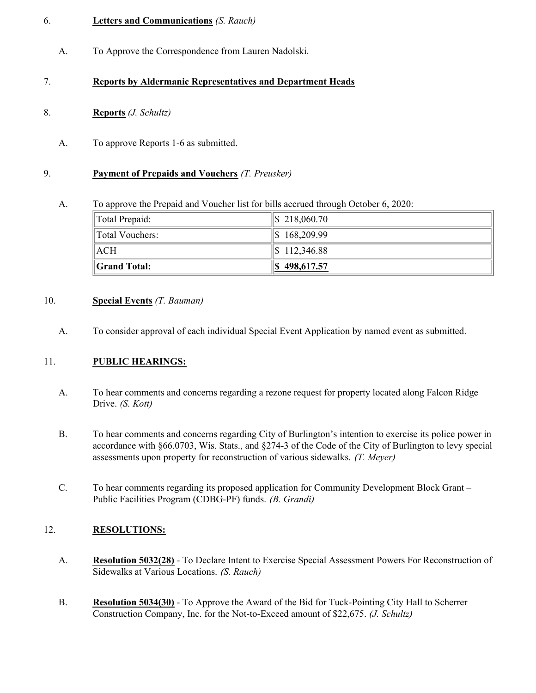# 6. **Letters and Communications** *(S. Rauch)*

A. To Approve the Correspondence from Lauren Nadolski.

# 7. **Reports by Aldermanic Representatives and Department Heads**

- 8. **Reports** *(J. Schultz)*
	- A. To approve Reports 1-6 as submitted.

#### 9. **Payment of Prepaids and Vouchers** *(T. Preusker)*

A. To approve the Prepaid and Voucher list for bills accrued through October 6, 2020:

| Total Prepaid:       | $\$\$218,060.70$   |
|----------------------|--------------------|
| Total Vouchers:      | $\$\, 168, 209.99$ |
| $\parallel$ ACH      | $\$\,112,346.88$   |
| <b>Scrand Total:</b> | $\ $ \$498,617.57  |

#### 10. **Special Events** *(T. Bauman)*

A. To consider approval of each individual Special Event Application by named event as submitted.

# 11. **PUBLIC HEARINGS:**

- A. To hear comments and concerns regarding a rezone request for property located along Falcon Ridge Drive. *(S. Kott)*
- B. To hear comments and concerns regarding City of Burlington's intention to exercise its police power in accordance with §66.0703, Wis. Stats., and §274-3 of the Code of the City of Burlington to levy special assessments upon property for reconstruction of various sidewalks. *(T. Meyer)*
- C. To hear comments regarding its proposed application for Community Development Block Grant Public Facilities Program (CDBG-PF) funds. *(B. Grandi)*

# 12. **RESOLUTIONS:**

- A. **Resolution 5032(28)** To Declare Intent to Exercise Special Assessment Powers For Reconstruction of Sidewalks at Various Locations. *(S. Rauch)*
- B. **Resolution 5034(30)** To Approve the Award of the Bid for Tuck-Pointing City Hall to Scherrer Construction Company, Inc. for the Not-to-Exceed amount of \$22,675. *(J. Schultz)*